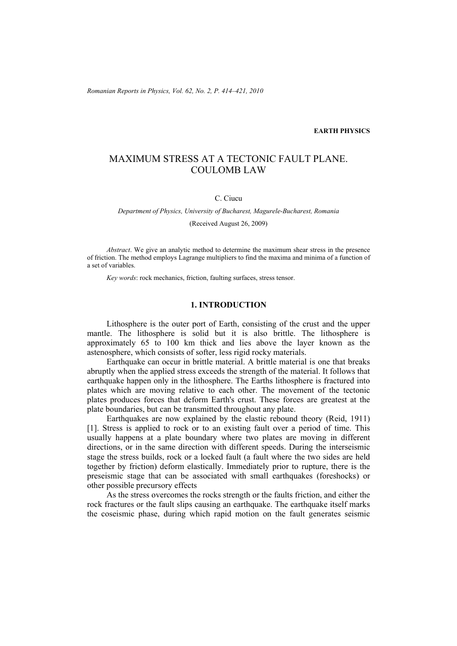*Romanian Reports in Physics, Vol. 62, No. 2, P. 414–421, 2010*

## **EARTH PHYSICS**

# MAXIMUM STRESS AT A TECTONIC FAULT PLANE. COULOMB LAW

## C. Ciucu

*Department of Physics, University of Bucharest, Magurele-Bucharest, Romania* 

(Received August 26, 2009)

*Abstract*. We give an analytic method to determine the maximum shear stress in the presence of friction. The method employs Lagrange multipliers to find the maxima and minima of a function of a set of variables.

*Key words*: rock mechanics, friction, faulting surfaces, stress tensor.

# **1. INTRODUCTION**

Lithosphere is the outer port of Earth, consisting of the crust and the upper mantle. The lithosphere is solid but it is also brittle. The lithosphere is approximately 65 to 100 km thick and lies above the layer known as the astenosphere, which consists of softer, less rigid rocky materials.

 Earthquake can occur in brittle material. A brittle material is one that breaks abruptly when the applied stress exceeds the strength of the material. It follows that earthquake happen only in the lithosphere. The Earths lithosphere is fractured into plates which are moving relative to each other. The movement of the tectonic plates produces forces that deform Earth's crust. These forces are greatest at the plate boundaries, but can be transmitted throughout any plate.

 Earthquakes are now explained by the elastic rebound theory (Reid, 1911) [1]. Stress is applied to rock or to an existing fault over a period of time. This usually happens at a plate boundary where two plates are moving in different directions, or in the same direction with different speeds. During the interseismic stage the stress builds, rock or a locked fault (a fault where the two sides are held together by friction) deform elastically. Immediately prior to rupture, there is the preseismic stage that can be associated with small earthquakes (foreshocks) or other possible precursory effects

 As the stress overcomes the rocks strength or the faults friction, and either the rock fractures or the fault slips causing an earthquake. The earthquake itself marks the coseismic phase, during which rapid motion on the fault generates seismic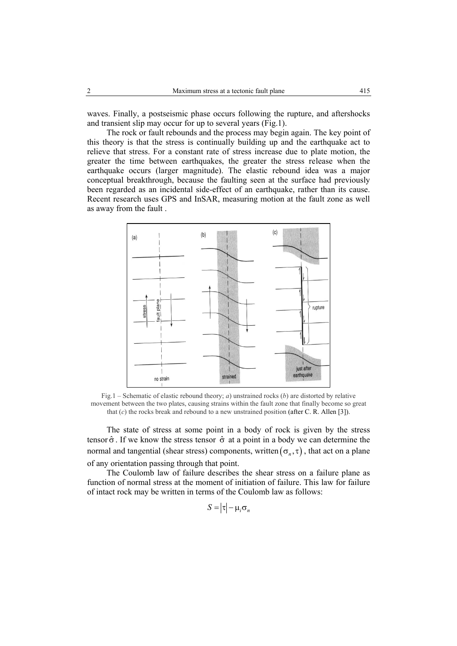waves. Finally, a postseismic phase occurs following the rupture, and aftershocks and transient slip may occur for up to several years (Fig.1).

The rock or fault rebounds and the process may begin again. The key point of this theory is that the stress is continually building up and the earthquake act to relieve that stress. For a constant rate of stress increase due to plate motion, the greater the time between earthquakes, the greater the stress release when the earthquake occurs (larger magnitude). The elastic rebound idea was a major conceptual breakthrough, because the faulting seen at the surface had previously been regarded as an incidental side-effect of an earthquake, rather than its cause. Recent research uses GPS and InSAR, measuring motion at the fault zone as well as away from the fault .



Fig.1 – Schematic of elastic rebound theory; *a*) unstrained rocks (*b*) are distorted by relative movement between the two plates, causing strains within the fault zone that finally become so great that (*c*) the rocks break and rebound to a new unstrained position (after C. R. Allen [3]).

 The state of stress at some point in a body of rock is given by the stress tensor  $\hat{\sigma}$ . If we know the stress tensor  $\hat{\sigma}$  at a point in a body we can determine the normal and tangential (shear stress) components, written  $(\sigma_n, \tau)$ , that act on a plane of any orientation passing through that point.

The Coulomb law of failure describes the shear stress on a failure plane as function of normal stress at the moment of initiation of failure. This law for failure of intact rock may be written in terms of the Coulomb law as follows:

$$
S = |\tau| - \mu_i \sigma_n
$$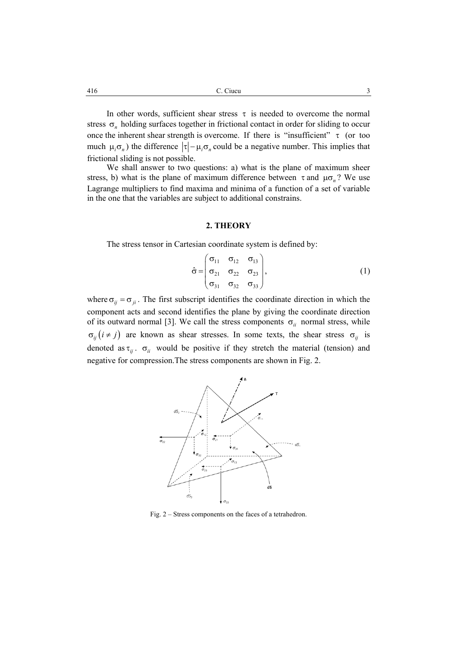In other words, sufficient shear stress  $\tau$  is needed to overcome the normal stress  $\sigma_n$  holding surfaces together in frictional contact in order for sliding to occur once the inherent shear strength is overcome. If there is "insufficient"  $\tau$  (or too much  $\mu_i \sigma_n$ ) the difference  $|\tau| - \mu_i \sigma_n$  could be a negative number. This implies that frictional sliding is not possible.

 We shall answer to two questions: a) what is the plane of maximum sheer stress, b) what is the plane of maximum difference between  $\tau$  and  $\mu \sigma_n$ ? We use Lagrange multipliers to find maxima and minima of a function of a set of variable in the one that the variables are subject to additional constrains.

#### **2. THEORY**

The stress tensor in Cartesian coordinate system is defined by:

$$
\hat{\sigma} = \begin{pmatrix} \sigma_{11} & \sigma_{12} & \sigma_{13} \\ \sigma_{21} & \sigma_{22} & \sigma_{23} \\ \sigma_{31} & \sigma_{32} & \sigma_{33} \end{pmatrix},
$$
 (1)

where  $\sigma_{ij} = \sigma_{ji}$ . The first subscript identifies the coordinate direction in which the component acts and second identifies the plane by giving the coordinate direction of its outward normal [3]. We call the stress components  $\sigma_{ii}$  normal stress, while  $\sigma_{ii}$  ( $i \neq j$ ) are known as shear stresses. In some texts, the shear stress  $\sigma_{ii}$  is denoted as  $\tau_{ii}$ .  $\sigma_{ii}$  would be positive if they stretch the material (tension) and negative for compression.The stress components are shown in Fig. 2.



Fig. 2 – Stress components on the faces of a tetrahedron.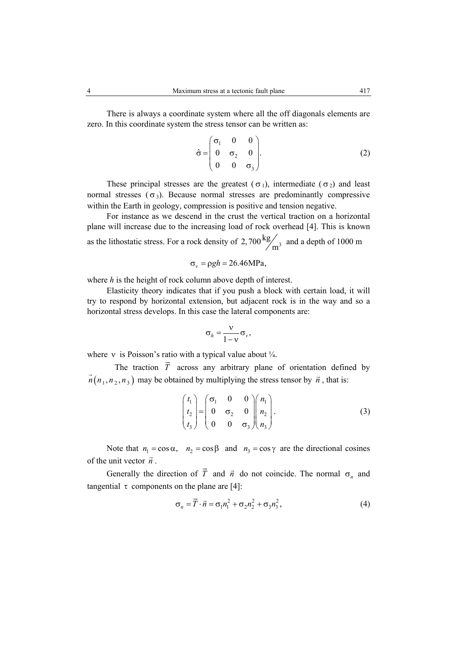zero. In this coordinate system the stress tensor can be written as:

$$
\hat{\sigma} = \begin{pmatrix} \sigma_1 & 0 & 0 \\ 0 & \sigma_2 & 0 \\ 0 & 0 & \sigma_3 \end{pmatrix} . \tag{2}
$$

These principal stresses are the greatest ( $\sigma_1$ ), intermediate ( $\sigma_2$ ) and least normal stresses  $(\sigma_3)$ . Because normal stresses are predominantly compressive within the Earth in geology, compression is positive and tension negative.

For instance as we descend in the crust the vertical traction on a horizontal plane will increase due to the increasing load of rock overhead [4]. This is known as the lithostatic stress. For a rock density of  $2,700 \frac{\text{kg}}{\text{m}^3}$  and a depth of 1000 m

$$
\sigma_{v} = \rho g h = 26.46 \text{MPa},
$$

where *h* is the height of rock column above depth of interest.

 Elasticity theory indicates that if you push a block with certain load, it will try to respond by horizontal extension, but adjacent rock is in the way and so a horizontal stress develops. In this case the lateral components are:

$$
\sigma_h = \frac{v}{1 - v} \sigma_v,
$$

where v is Poisson's ratio with a typical value about  $\frac{1}{4}$ .  $\ddot{\ }$ 

The traction *T* across any arbitrary plane of orientation defined by  $\vec{n}(n_1, n_2, n_3)$  may be obtained by multiplying the stress tensor by  $\vec{n}$ , that is:

$$
\begin{pmatrix} t_1 \\ t_2 \\ t_3 \end{pmatrix} = \begin{pmatrix} \sigma_1 & 0 & 0 \\ 0 & \sigma_2 & 0 \\ 0 & 0 & \sigma_3 \end{pmatrix} \begin{pmatrix} n_1 \\ n_2 \\ n_3 \end{pmatrix} . \tag{3}
$$

Note that  $n_1 = \cos \alpha$ ,  $n_2 = \cos \beta$  and  $n_3 = \cos \gamma$  are the directional cosines of the unit vector  $\overrightarrow{n}$ .  $\rightarrow$ 

 Generally the direction of *T* and  $\vec{n}$  do not coincide. The normal  $\sigma_n$  and tangential  $\tau$  components on the plane are [4]:

$$
\sigma_n = \vec{T} \cdot \vec{n} = \sigma_1 n_1^2 + \sigma_2 n_2^2 + \sigma_3 n_3^2,
$$
 (4)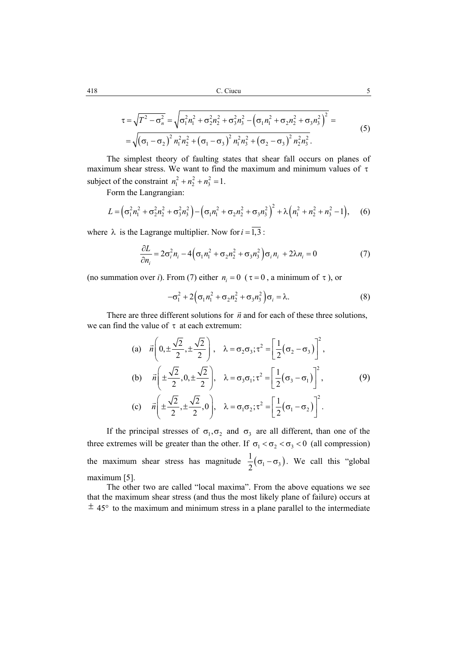$$
\tau = \sqrt{T^2 - \sigma_n^2} = \sqrt{\sigma_1^2 n_1^2 + \sigma_2^2 n_2^2 + \sigma_3^2 n_3^2 - (\sigma_1 n_1^2 + \sigma_2 n_2^2 + \sigma_3 n_3^2)^2} =
$$
  
=  $\sqrt{(\sigma_1 - \sigma_2)^2 n_1^2 n_2^2 + (\sigma_1 - \sigma_3)^2 n_1^2 n_3^2 + (\sigma_2 - \sigma_3)^2 n_2^2 n_3^2}$ . (5)

The simplest theory of faulting states that shear fall occurs on planes of maximum shear stress. We want to find the maximum and minimum values of  $\tau$ subject of the constraint  $n_1^2 + n_2^2 + n_3^2 = 1$ .

Form the Langrangian:

$$
L = (\sigma_1^2 n_1^2 + \sigma_2^2 n_2^2 + \sigma_3^2 n_3^2) - (\sigma_1 n_1^2 + \sigma_2 n_2^2 + \sigma_3 n_3^2)^2 + \lambda (n_1^2 + n_2^2 + n_3^2 - 1),
$$
 (6)

where  $\lambda$  is the Lagrange multiplier. Now for  $i = 1,3$ :

$$
\frac{\partial L}{\partial n_i} = 2\sigma_i^2 n_i - 4\Big(\sigma_1 n_1^2 + \sigma_2 n_2^2 + \sigma_3 n_3^2\Big)\sigma_i n_i + 2\lambda n_i = 0\tag{7}
$$

(no summation over *i*). From (7) either  $n_i = 0$  ( $\tau = 0$ , a minimum of  $\tau$ ), or

$$
-\sigma_1^2 + 2\Big(\sigma_1 n_1^2 + \sigma_2 n_2^2 + \sigma_3 n_3^2\Big)\sigma_i = \lambda.
$$
 (8)

There are three different solutions for  $\vec{n}$  and for each of these three solutions, we can find the value of  $\tau$  at each extremum:

(a) 
$$
\vec{n} \left( 0, \pm \frac{\sqrt{2}}{2}, \pm \frac{\sqrt{2}}{2} \right)
$$
,  $\lambda = \sigma_2 \sigma_3; \tau^2 = \left[ \frac{1}{2} (\sigma_2 - \sigma_3) \right]^2$ ,  
\n(b)  $\vec{n} \left( \pm \frac{\sqrt{2}}{2}, 0, \pm \frac{\sqrt{2}}{2} \right)$ ,  $\lambda = \sigma_3 \sigma_1; \tau^2 = \left[ \frac{1}{2} (\sigma_3 - \sigma_1) \right]^2$ , (9)  
\n(c)  $\vec{n} \left( \pm \frac{\sqrt{2}}{2}, \pm \frac{\sqrt{2}}{2}, 0 \right)$ ,  $\lambda = \sigma_1 \sigma_2; \tau^2 = \left[ \frac{1}{2} (\sigma_1 - \sigma_2) \right]^2$ .

If the principal stresses of  $\sigma_1, \sigma_2$  and  $\sigma_3$  are all different, than one of the three extremes will be greater than the other. If  $\sigma_1 < \sigma_2 < \sigma_3 < 0$  (all compression) the maximum shear stress has magnitude  $\frac{1}{2}(\sigma_1 - \sigma_3)$ 2  $\sigma_1 - \sigma_3$ ). We call this "global" maximum [5].

The other two are called "local maxima". From the above equations we see that the maximum shear stress (and thus the most likely plane of failure) occurs at  $\pm$  45° to the maximum and minimum stress in a plane parallel to the intermediate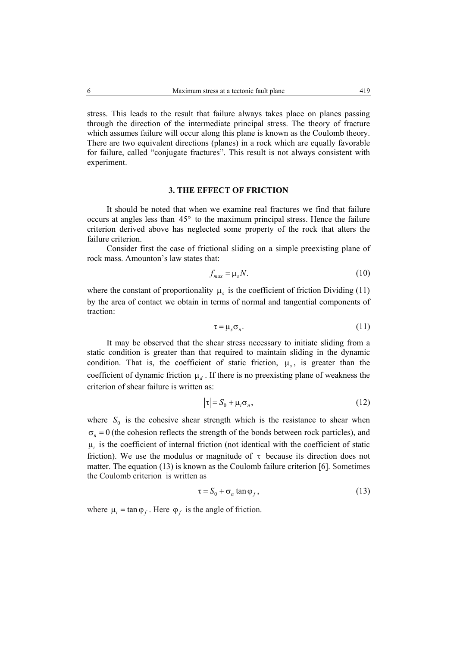stress. This leads to the result that failure always takes place on planes passing through the direction of the intermediate principal stress. The theory of fracture which assumes failure will occur along this plane is known as the Coulomb theory. There are two equivalent directions (planes) in a rock which are equally favorable for failure, called "conjugate fractures". This result is not always consistent with experiment.

# **3. THE EFFECT OF FRICTION**

It should be noted that when we examine real fractures we find that failure occurs at angles less than 45° to the maximum principal stress. Hence the failure criterion derived above has neglected some property of the rock that alters the failure criterion.

Consider first the case of frictional sliding on a simple preexisting plane of rock mass. Amounton's law states that:

$$
f_{\text{max}} = \mu_s N. \tag{10}
$$

where the constant of proportionality  $\mu_s$  is the coefficient of friction Dividing (11) by the area of contact we obtain in terms of normal and tangential components of traction:

$$
\tau = \mu_s \sigma_n. \tag{11}
$$

 It may be observed that the shear stress necessary to initiate sliding from a static condition is greater than that required to maintain sliding in the dynamic condition. That is, the coefficient of static friction,  $\mu_{\rm s}$ , is greater than the coefficient of dynamic friction  $\mu_d$ . If there is no preexisting plane of weakness the criterion of shear failure is written as:

$$
|\tau| = S_0 + \mu_i \sigma_n,\tag{12}
$$

where  $S_0$  is the cohesive shear strength which is the resistance to shear when  $\sigma_n = 0$  (the cohesion reflects the strength of the bonds between rock particles), and  $\mu_i$  is the coefficient of internal friction (not identical with the coefficient of static friction). We use the modulus or magnitude of  $\tau$  because its direction does not matter. The equation (13) is known as the Coulomb failure criterion [6]. Sometimes the Coulomb criterion is written as

$$
\tau = S_0 + \sigma_n \tan \varphi_f, \qquad (13)
$$

where  $\mu_i = \tan \varphi_f$ . Here  $\varphi_f$  is the angle of friction.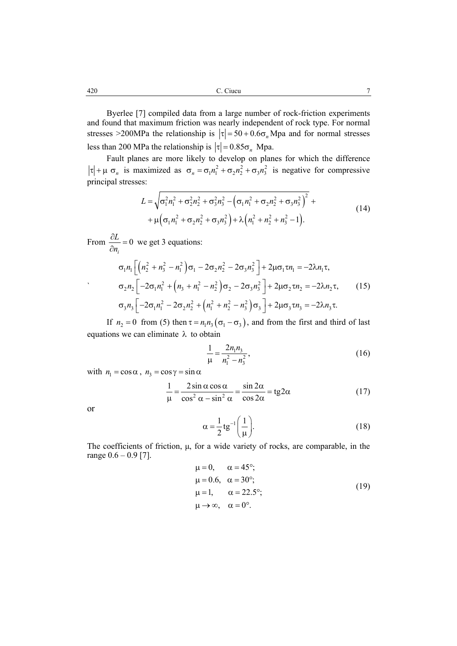Byerlee [7] compiled data from a large number of rock-friction experiments and found that maximum friction was nearly independent of rock type. For normal stresses >200MPa the relationship is  $|\tau| = 50 + 0.6\sigma_n$ Mpa and for normal stresses less than 200 MPa the relationship is  $|\tau| = 0.85 \sigma_n$  Mpa.

 Fault planes are more likely to develop on planes for which the difference  $\tau$  +  $\mu$   $\sigma_n$  is maximized as  $\sigma_n = \sigma_1 n_1^2 + \sigma_2 n_2^2 + \sigma_3 n_3^2$  is negative for compressive principal stresses:

$$
L = \sqrt{\sigma_1^2 n_1^2 + \sigma_2^2 n_2^2 + \sigma_3^2 n_3^2 - (\sigma_1 n_1^2 + \sigma_2 n_2^2 + \sigma_3 n_3^2)^2} +
$$
  
+  $\mu (\sigma_1 n_1^2 + \sigma_2 n_2^2 + \sigma_3 n_3^2) + \lambda (n_1^2 + n_2^2 + n_3^2 - 1).$  (14)

From  $\frac{U}{I} = 0$ *i L*  $\frac{\partial L}{\partial n_i} = 0$  we get 3 equations:

$$
\sigma_1 n_1 \left[ \left( n_2^2 + n_3^2 - n_1^2 \right) \sigma_1 - 2 \sigma_2 n_2^2 - 2 \sigma_3 n_3^2 \right] + 2 \mu \sigma_1 \tau n_1 = -2 \lambda n_1 \tau,
$$
  
\n
$$
\sigma_2 n_2 \left[ -2 \sigma_1 n_1^2 + \left( n_3 + n_1^2 - n_2^2 \right) \sigma_2 - 2 \sigma_3 n_3^2 \right] + 2 \mu \sigma_2 \tau n_2 = -2 \lambda n_2 \tau,
$$
 (15)  
\n
$$
\sigma_3 n_3 \left[ -2 \sigma_1 n_1^2 - 2 \sigma_2 n_2^2 + \left( n_1^2 + n_2^2 - n_3^2 \right) \sigma_3 \right] + 2 \mu \sigma_3 \tau n_3 = -2 \lambda n_3 \tau.
$$

If  $n_2 = 0$  from (5) then  $\tau = n_1 n_3 (\sigma_1 - \sigma_3)$ , and from the first and third of last equations we can eliminate  $\lambda$  to obtain

$$
\frac{1}{\mu} = \frac{2n_1n_3}{n_1^2 - n_3^2},\tag{16}
$$

with  $n_1 = \cos \alpha$ ,  $n_3 = \cos \gamma = \sin \alpha$ 

$$
\frac{1}{\mu} = \frac{2\sin\alpha\cos\alpha}{\cos^2\alpha - \sin^2\alpha} = \frac{\sin 2\alpha}{\cos 2\alpha} = \text{tg2}\alpha
$$
 (17)

or

`

$$
\alpha = \frac{1}{2} \text{tg}^{-1} \bigg( \frac{1}{\mu} \bigg). \tag{18}
$$

The coefficients of friction,  $\mu$ , for a wide variety of rocks, are comparable, in the range  $0.6 - 0.9$  [7].

$$
\mu = 0, \quad \alpha = 45^{\circ};
$$
  
\n
$$
\mu = 0.6, \quad \alpha = 30^{\circ};
$$
  
\n
$$
\mu = 1, \quad \alpha = 22.5^{\circ};
$$
  
\n
$$
\mu \rightarrow \infty, \quad \alpha = 0^{\circ}.
$$
  
\n(19)